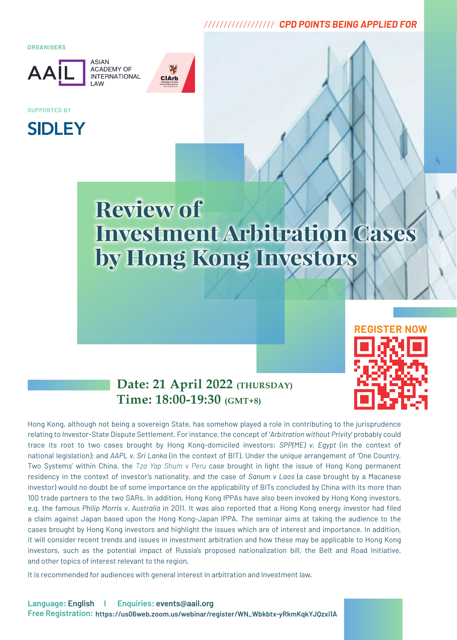# *////////////////// CPD POINTS BEING APPLIED FOR*

**ORGANISERS** 



**ASIAN ACADEMY OF INTERNATIONAL** 



SUPPORTED BY



# **Review of Investment Arbitration Cases by Hong Kong Investors**



# **Date: 21 April 2022 (THURSDAY) Time: 18:00-19:30 (GMT+8)**

Hong Kong, although not being a sovereign State, has somehow played a role in contributing to the jurisprudence relating to Investor-State Dispute Settlement. For instance, the concept of '*Arbitration without Privity*' probably could trace its root to two cases brought by Hong Kong-domiciled investors: *SPP(ME) v. Egypt* (in the context of national legislation); and *AAPL v. Sri Lanka* (in the context of BIT). Under the unique arrangement of 'One Country, Two Systems' within China, the *Tza Yap Shum v Peru* case brought in light the issue of Hong Kong permanent residency in the context of investor's nationality, and the case of *Sanum v Laos* (a case brought by a Macanese investor) would no doubt be of some importance on the applicability of BITs concluded by China with its more than 100 trade partners to the two SARs. In addition, Hong Kong IPPAs have also been invoked by Hong Kong investors, e.g. the famous *Philip Morris v. Australia* in 2011. It was also reported that a Hong Kong energy investor had filed a claim against Japan based upon the Hong Kong-Japan IPPA. The seminar aims at taking the audience to the cases brought by Hong Kong investors and highlight the issues which are of interest and importance. In addition, it will consider recent trends and issues in investment arbitration and how these may be applicable to Hong Kong investors, such as the potential impact of Russia's proposed nationalization bill, the Belt and Road Initiative, and other topics of interest relevant to the region.

It is recommended for audiences with general interest in arbitration and investment law.